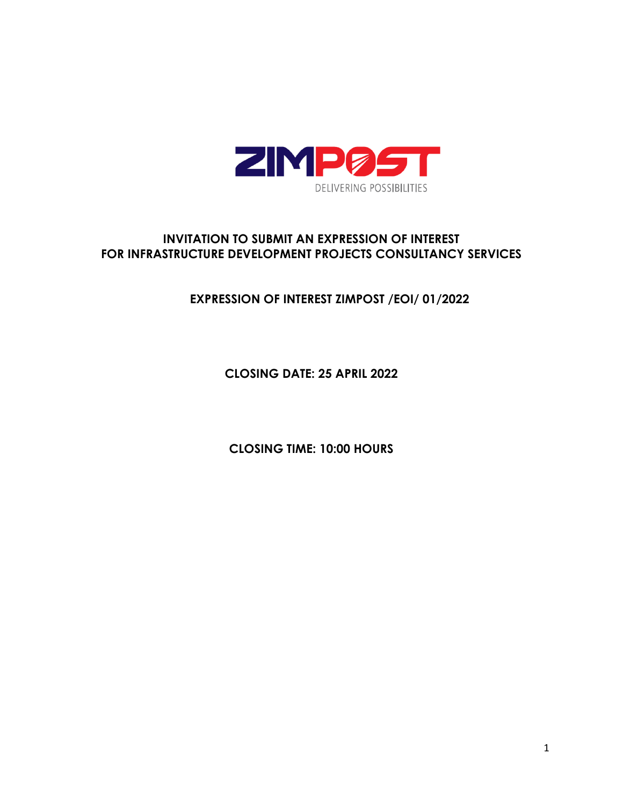

# **INVITATION TO SUBMIT AN EXPRESSION OF INTEREST FOR INFRASTRUCTURE DEVELOPMENT PROJECTS CONSULTANCY SERVICES**

# **EXPRESSION OF INTEREST ZIMPOST /EOI/ 01/2022**

**CLOSING DATE: 25 APRIL 2022**

**CLOSING TIME: 10:00 HOURS**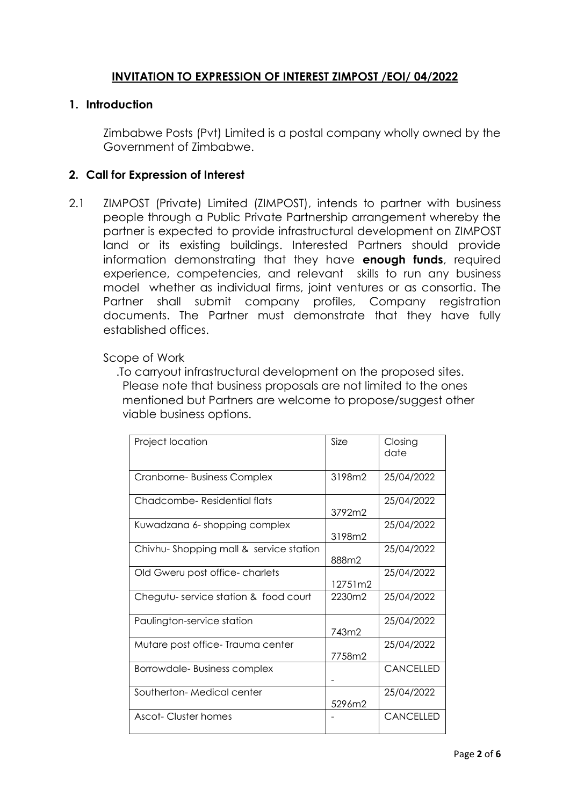### **INVITATION TO EXPRESSION OF INTEREST ZIMPOST /EOI/ 04/2022**

### **1. Introduction**

Zimbabwe Posts (Pvt) Limited is a postal company wholly owned by the Government of Zimbabwe.

### **2. Call for Expression of Interest**

2.1 ZIMPOST (Private) Limited (ZIMPOST), intends to partner with business people through a Public Private Partnership arrangement whereby the partner is expected to provide infrastructural development on ZIMPOST land or its existing buildings. Interested Partners should provide information demonstrating that they have **enough funds**, required experience, competencies, and relevant skills to run any business model whether as individual firms, joint ventures or as consortia. The Partner shall submit company profiles, Company registration documents. The Partner must demonstrate that they have fully established offices.

#### Scope of Work

 .To carryout infrastructural development on the proposed sites. Please note that business proposals are not limited to the ones mentioned but Partners are welcome to propose/suggest other viable business options.

| Project location                       | Size    | Closing<br>date  |
|----------------------------------------|---------|------------------|
| Cranborne-Business Complex             | 3198m2  | 25/04/2022       |
| Chadcombe-Residential flats            | 3792m2  | 25/04/2022       |
| Kuwadzana 6- shopping complex          | 3198m2  | 25/04/2022       |
| Chivhu-Shopping mall & service station | 888m2   | 25/04/2022       |
| Old Gweru post office-charlets         | 12751m2 | 25/04/2022       |
| Chegutu-service station & food court   | 2230m2  | 25/04/2022       |
| Paulington-service station             | 743m2   | 25/04/2022       |
| Mutare post office-Trauma center       | 7758m2  | 25/04/2022       |
| Borrowdale-Business complex            |         | CANCELLED        |
| Southerton-Medical center              | 5296m2  | 25/04/2022       |
| Ascot-Cluster homes                    |         | <b>CANCELLED</b> |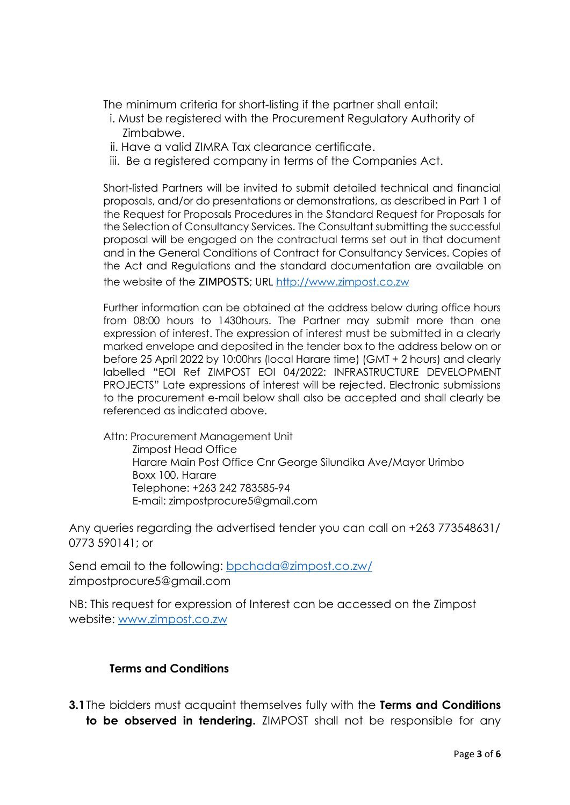The minimum criteria for short-listing if the partner shall entail:

- i. Must be registered with the Procurement Regulatory Authority of Zimbabwe.
- ii. Have a valid ZIMRA Tax clearance certificate.
- iii. Be a registered company in terms of the Companies Act.

Short-listed Partners will be invited to submit detailed technical and financial proposals, and/or do presentations or demonstrations, as described in Part 1 of the Request for Proposals Procedures in the Standard Request for Proposals for the Selection of Consultancy Services. The Consultant submitting the successful proposal will be engaged on the contractual terms set out in that document and in the General Conditions of Contract for Consultancy Services. Copies of the Act and Regulations and the standard documentation are available on the website of the ZIMPOSTS; URL [http://www.zimpost.co.zw](http://www.zimpost.co.zw/)

Further information can be obtained at the address below during office hours from 08:00 hours to 1430hours. The Partner may submit more than one expression of interest. The expression of interest must be submitted in a clearly marked envelope and deposited in the tender box to the address below on or before 25 April 2022 by 10:00hrs (local Harare time) (GMT + 2 hours) and clearly labelled "EOI Ref ZIMPOST EOI 04/2022: INFRASTRUCTURE DEVELOPMENT PROJECTS" Late expressions of interest will be rejected. Electronic submissions to the procurement e-mail below shall also be accepted and shall clearly be referenced as indicated above.

Attn: Procurement Management Unit Zimpost Head Office Harare Main Post Office Cnr George Silundika Ave/Mayor Urimbo Boxx 100, Harare Telephone: +263 242 783585-94 E-mail: zimpostprocure5@gmail.com

Any queries regarding the advertised tender you can call on +263 773548631/ 0773 590141; or

Send email to the following: [bpchada@zimpost.co.zw/](mailto:bpchada@zimpost.co.zw) zimpostprocure5@gmail.com

NB: This request for expression of Interest can be accessed on the Zimpost website: [www.zimpost.co.zw](http://www.zimpost.co.zw/)

# **Terms and Conditions**

**3.1**The bidders must acquaint themselves fully with the **Terms and Conditions to be observed in tendering.** ZIMPOST shall not be responsible for any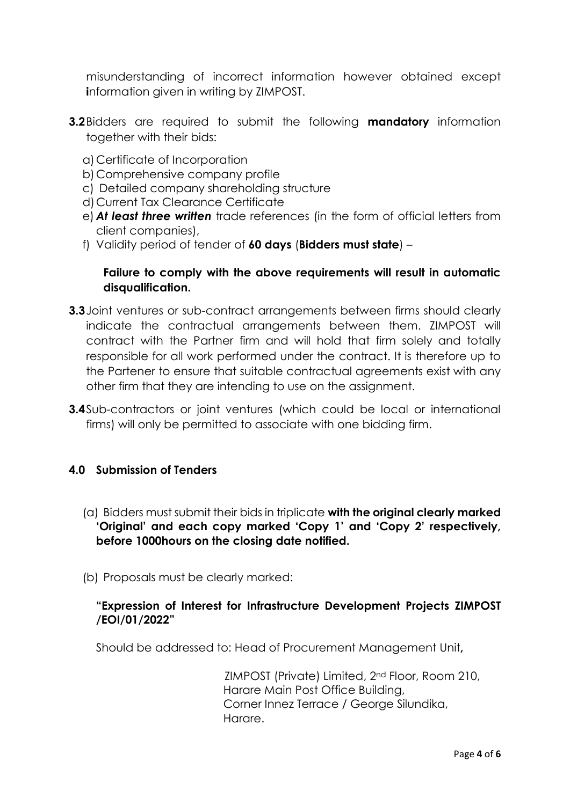misunderstanding of incorrect information however obtained except **i**nformation given in writing by ZIMPOST.

- **3.2**Bidders are required to submit the following **mandatory** information together with their bids:
	- a)Certificate of Incorporation
	- b)Comprehensive company profile
	- c) Detailed company shareholding structure
	- d)Current Tax Clearance Certificate
	- e) *At least three written* trade references (in the form of official letters from client companies),
	- f) Validity period of tender of **60 days** (**Bidders must state**) –

# **Failure to comply with the above requirements will result in automatic disqualification.**

- **3.3**Joint ventures or sub-contract arrangements between firms should clearly indicate the contractual arrangements between them. ZIMPOST will contract with the Partner firm and will hold that firm solely and totally responsible for all work performed under the contract. It is therefore up to the Partener to ensure that suitable contractual agreements exist with any other firm that they are intending to use on the assignment.
- **3.4**Sub-contractors or joint ventures (which could be local or international firms) will only be permitted to associate with one bidding firm.

# **4.0 Submission of Tenders**

- (a) Bidders must submit their bids in triplicate **with the original clearly marked 'Original' and each copy marked 'Copy 1' and 'Copy 2' respectively, before 1000hours on the closing date notified.**
- (b) Proposals must be clearly marked:

# **"Expression of Interest for Infrastructure Development Projects ZIMPOST /EOI/01/2022"**

Should be addressed to: Head of Procurement Management Unit**,** 

ZIMPOST (Private) Limited, 2nd Floor, Room 210, Harare Main Post Office Building, Corner Innez Terrace / George Silundika, Harare.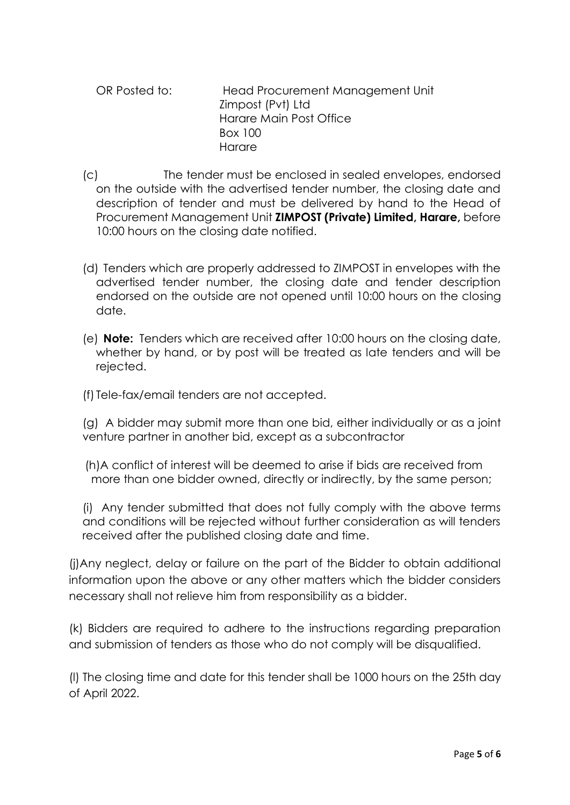OR Posted to: Head Procurement Management Unit Zimpost (Pvt) Ltd Harare Main Post Office Box 100 **Harare** 

- (c) The tender must be enclosed in sealed envelopes, endorsed on the outside with the advertised tender number, the closing date and description of tender and must be delivered by hand to the Head of Procurement Management Unit **ZIMPOST (Private) Limited, Harare,** before 10:00 hours on the closing date notified.
- (d) Tenders which are properly addressed to ZIMPOST in envelopes with the advertised tender number, the closing date and tender description endorsed on the outside are not opened until 10:00 hours on the closing date.
- (e) **Note:** Tenders which are received after 10:00 hours on the closing date, whether by hand, or by post will be treated as late tenders and will be rejected.
- (f) Tele-fax/email tenders are not accepted.

(g) A bidder may submit more than one bid, either individually or as a joint venture partner in another bid, except as a subcontractor

 (h)A conflict of interest will be deemed to arise if bids are received from more than one bidder owned, directly or indirectly, by the same person;

(i) Any tender submitted that does not fully comply with the above terms and conditions will be rejected without further consideration as will tenders received after the published closing date and time.

(j)Any neglect, delay or failure on the part of the Bidder to obtain additional information upon the above or any other matters which the bidder considers necessary shall not relieve him from responsibility as a bidder.

(k) Bidders are required to adhere to the instructions regarding preparation and submission of tenders as those who do not comply will be disqualified.

(l) The closing time and date for this tender shall be 1000 hours on the 25th day of April 2022.